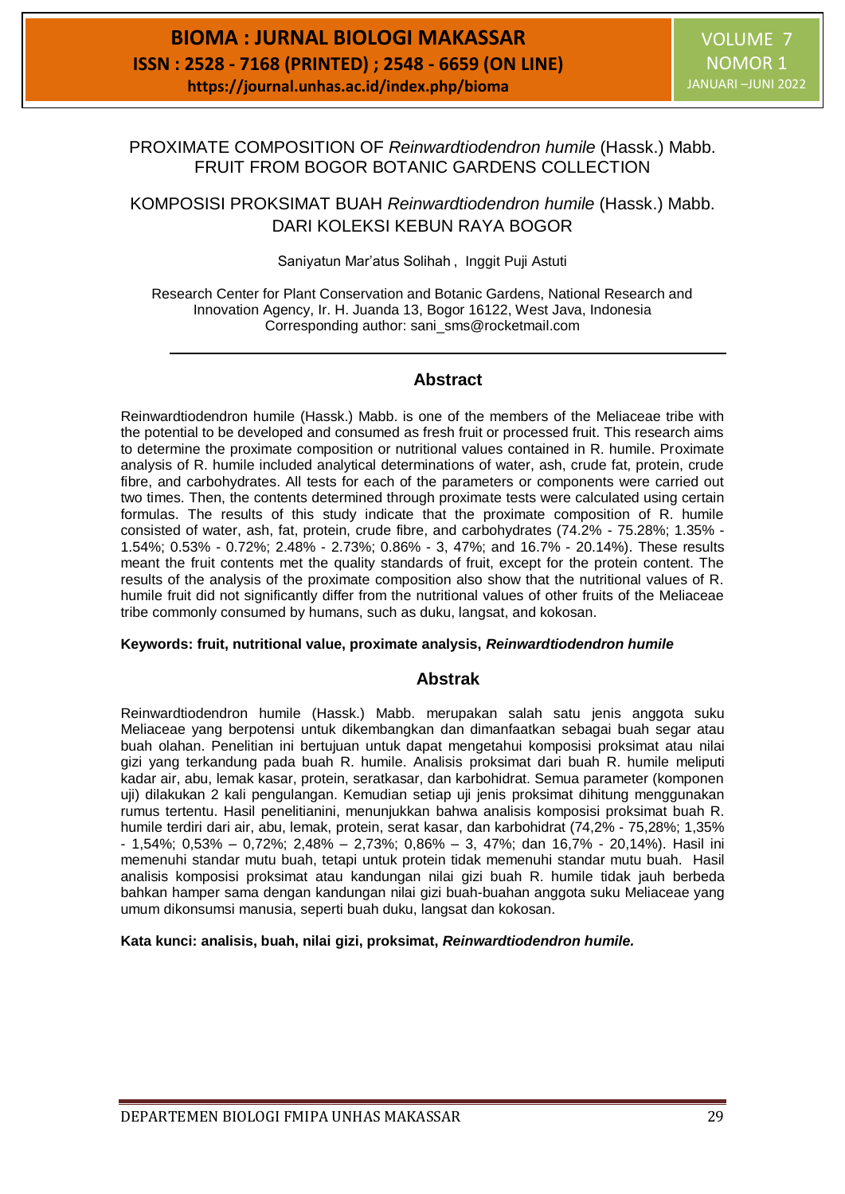# PROXIMATE COMPOSITION OF *Reinwardtiodendron humile* (Hassk.) Mabb. FRUIT FROM BOGOR BOTANIC GARDENS COLLECTION

KOMPOSISI PROKSIMAT BUAH *Reinwardtiodendron humile* (Hassk.) Mabb. DARI KOLEKSI KEBUN RAYA BOGOR

Saniyatun Mar'atus Solihah, Inggit Puji Astuti

Research Center for Plant Conservation and Botanic Gardens, National Research and Innovation Agency, Ir. H. Juanda 13, Bogor 16122, West Java, Indonesia Corresponding author: [sani\\_sms@rocketmail.com](mailto:sani_sms@rocketmail.com)

# **Abstract**

Reinwardtiodendron humile (Hassk.) Mabb. is one of the members of the Meliaceae tribe with the potential to be developed and consumed as fresh fruit or processed fruit. This research aims to determine the proximate composition or nutritional values contained in R. humile. Proximate analysis of R. humile included analytical determinations of water, ash, crude fat, protein, crude fibre, and carbohydrates. All tests for each of the parameters or components were carried out two times. Then, the contents determined through proximate tests were calculated using certain formulas. The results of this study indicate that the proximate composition of R. humile consisted of water, ash, fat, protein, crude fibre, and carbohydrates (74.2% - 75.28%; 1.35% - 1.54%; 0.53% - 0.72%; 2.48% - 2.73%; 0.86% - 3, 47%; and 16.7% - 20.14%). These results meant the fruit contents met the quality standards of fruit, except for the protein content. The results of the analysis of the proximate composition also show that the nutritional values of R. humile fruit did not significantly differ from the nutritional values of other fruits of the Meliaceae tribe commonly consumed by humans, such as duku, langsat, and kokosan.

#### **Keywords: fruit, nutritional value, proximate analysis,** *Reinwardtiodendron humile*

# **Abstrak**

Reinwardtiodendron humile (Hassk.) Mabb. merupakan salah satu jenis anggota suku Meliaceae yang berpotensi untuk dikembangkan dan dimanfaatkan sebagai buah segar atau buah olahan. Penelitian ini bertujuan untuk dapat mengetahui komposisi proksimat atau nilai gizi yang terkandung pada buah R. humile. Analisis proksimat dari buah R. humile meliputi kadar air, abu, lemak kasar, protein, seratkasar, dan karbohidrat. Semua parameter (komponen uji) dilakukan 2 kali pengulangan. Kemudian setiap uji jenis proksimat dihitung menggunakan rumus tertentu. Hasil penelitianini, menunjukkan bahwa analisis komposisi proksimat buah R. humile terdiri dari air, abu, lemak, protein, serat kasar, dan karbohidrat (74,2% - 75,28%; 1,35% - 1,54%; 0,53% – 0,72%; 2,48% – 2,73%; 0,86% – 3, 47%; dan 16,7% - 20,14%). Hasil ini memenuhi standar mutu buah, tetapi untuk protein tidak memenuhi standar mutu buah. Hasil analisis komposisi proksimat atau kandungan nilai gizi buah R. humile tidak jauh berbeda bahkan hamper sama dengan kandungan nilai gizi buah-buahan anggota suku Meliaceae yang umum dikonsumsi manusia, seperti buah duku, langsat dan kokosan.

**Kata kunci: analisis, buah, nilai gizi, proksimat,** *Reinwardtiodendron humile.*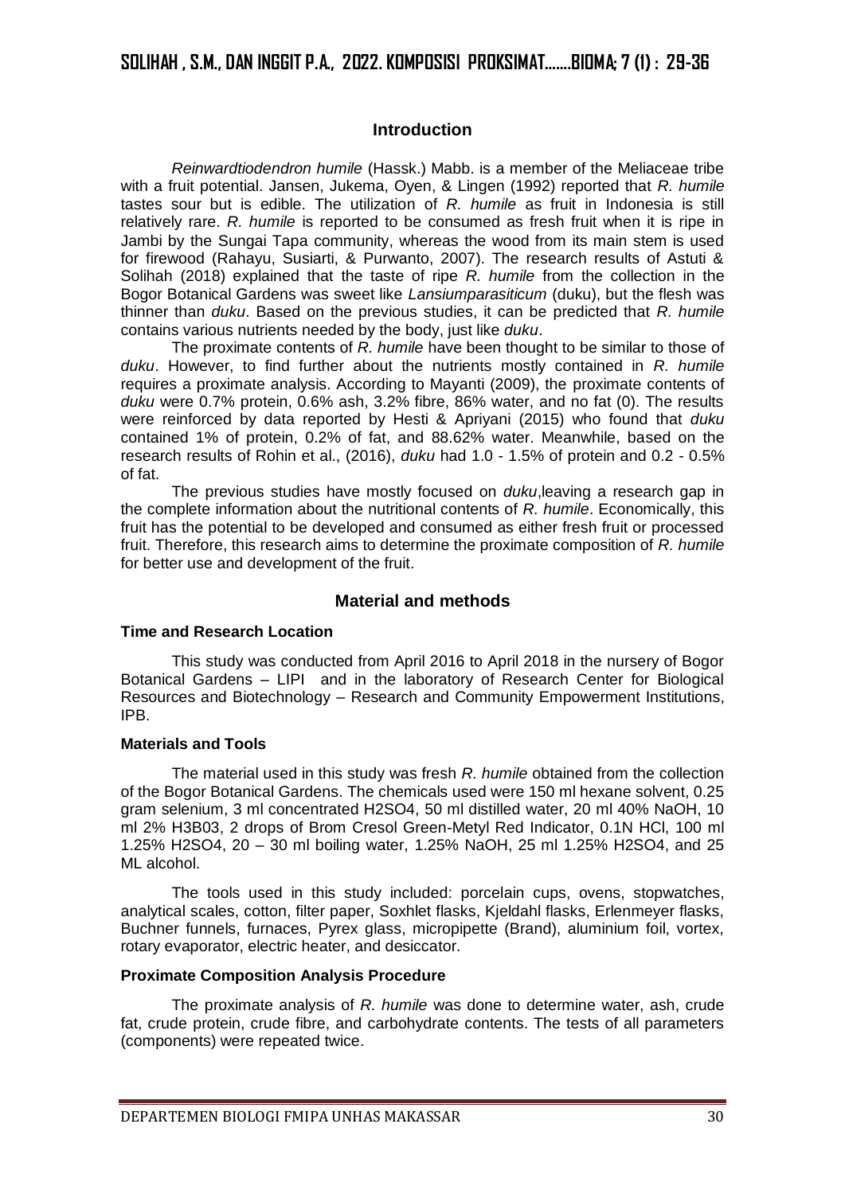# **SOLIHAH , S.M., DAN INGGIT P.A., 2022. KOMPOSISI PROKSIMAT…….BIOMA; 7 (1) : 29-36**

### **Introduction**

*Reinwardtiodendron humile* (Hassk.) Mabb. is a member of the Meliaceae tribe with a fruit potential. Jansen, Jukema, Oyen, & Lingen (1992) reported that *R. humile* tastes sour but is edible. The utilization of *R. humile* as fruit in Indonesia is still relatively rare. *R. humile* is reported to be consumed as fresh fruit when it is ripe in Jambi by the Sungai Tapa community, whereas the wood from its main stem is used for firewood (Rahayu, Susiarti, & Purwanto, 2007). The research results of Astuti & Solihah (2018) explained that the taste of ripe *R. humile* from the collection in the Bogor Botanical Gardens was sweet like *Lansiumparasiticum* (duku), but the flesh was thinner than *duku*. Based on the previous studies, it can be predicted that *R. humile* contains various nutrients needed by the body, just like *duku*.

The proximate contents of *R. humile* have been thought to be similar to those of *duku*. However, to find further about the nutrients mostly contained in *R. humile* requires a proximate analysis. According to Mayanti (2009), the proximate contents of *duku* were 0.7% protein, 0.6% ash, 3.2% fibre, 86% water, and no fat (0). The results were reinforced by data reported by Hesti & Apriyani (2015) who found that *duku*  contained 1% of protein, 0.2% of fat, and 88.62% water. Meanwhile, based on the research results of Rohin et al., (2016), *duku* had 1.0 - 1.5% of protein and 0.2 - 0.5% of fat.

The previous studies have mostly focused on *duku*,leaving a research gap in the complete information about the nutritional contents of *R. humile*. Economically, this fruit has the potential to be developed and consumed as either fresh fruit or processed fruit. Therefore, this research aims to determine the proximate composition of *R. humile* for better use and development of the fruit.

# **Material and methods**

#### **Time and Research Location**

This study was conducted from April 2016 to April 2018 in the nursery of Bogor Botanical Gardens – LIPI and in the laboratory of Research Center for Biological Resources and Biotechnology – Research and Community Empowerment Institutions, IPB.

#### **Materials and Tools**

The material used in this study was fresh *R. humile* obtained from the collection of the Bogor Botanical Gardens. The chemicals used were 150 ml hexane solvent, 0.25 gram selenium, 3 ml concentrated H2SO4, 50 ml distilled water, 20 ml 40% NaOH, 10 ml 2% H3B03, 2 drops of Brom Cresol Green-Metyl Red Indicator, 0.1N HCl, 100 ml 1.25% H2SO4, 20 – 30 ml boiling water, 1.25% NaOH, 25 ml 1.25% H2SO4, and 25 ML alcohol.

The tools used in this study included: porcelain cups, ovens, stopwatches, analytical scales, cotton, filter paper, Soxhlet flasks, Kjeldahl flasks, Erlenmeyer flasks, Buchner funnels, furnaces, Pyrex glass, micropipette (Brand), aluminium foil, vortex, rotary evaporator, electric heater, and desiccator.

#### **Proximate Composition Analysis Procedure**

The proximate analysis of *R. humile* was done to determine water, ash, crude fat, crude protein, crude fibre, and carbohydrate contents. The tests of all parameters (components) were repeated twice.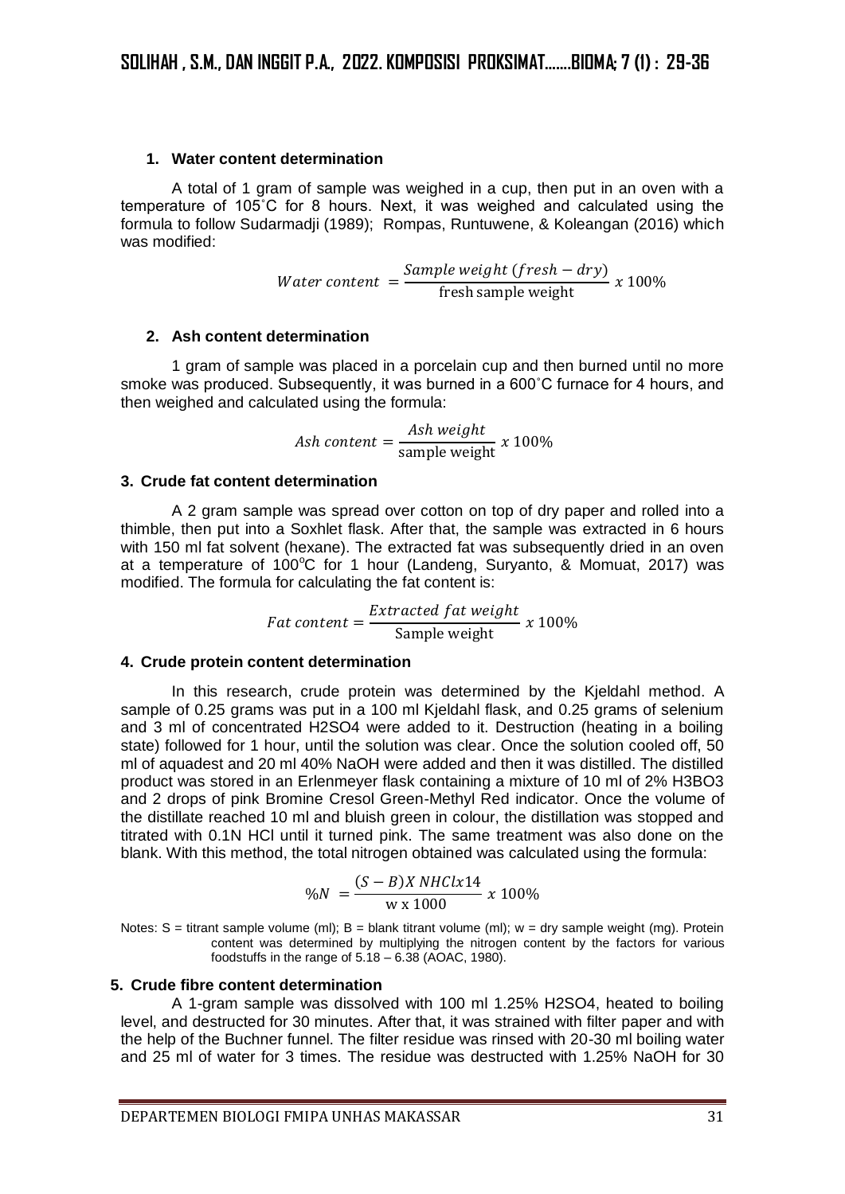### **1. Water content determination**

A total of 1 gram of sample was weighed in a cup, then put in an oven with a temperature of 105˚C for 8 hours. Next, it was weighed and calculated using the formula to follow Sudarmadji (1989); Rompas, Runtuwene, & Koleangan (2016) which was modified:

> Water content  $=$ Sample weight (fresh − dry)  $\frac{1}{\pi}$  x 100%<br>fresh sample weight

### **2. Ash content determination**

1 gram of sample was placed in a porcelain cup and then burned until no more smoke was produced. Subsequently, it was burned in a 600˚C furnace for 4 hours, and then weighed and calculated using the formula:

$$
Ash\ content = \frac{Ash\ weight}{sample\ weight} \ x\ 100\%
$$

#### **3. Crude fat content determination**

A 2 gram sample was spread over cotton on top of dry paper and rolled into a thimble, then put into a Soxhlet flask. After that, the sample was extracted in 6 hours with 150 ml fat solvent (hexane). The extracted fat was subsequently dried in an oven at a temperature of 100 $^{\circ}$ C for 1 hour (Landeng, Suryanto, & Momuat, 2017) was modified. The formula for calculating the fat content is:

*Fat content* = 
$$
\frac{Extracted fat weight}{Sample weight} \times 100\%
$$

#### **4. Crude protein content determination**

In this research, crude protein was determined by the Kjeldahl method. A sample of 0.25 grams was put in a 100 ml Kjeldahl flask, and 0.25 grams of selenium and 3 ml of concentrated H2SO4 were added to it. Destruction (heating in a boiling state) followed for 1 hour, until the solution was clear. Once the solution cooled off, 50 ml of aquadest and 20 ml 40% NaOH were added and then it was distilled. The distilled product was stored in an Erlenmeyer flask containing a mixture of 10 ml of 2% H3BO3 and 2 drops of pink Bromine Cresol Green-Methyl Red indicator. Once the volume of the distillate reached 10 ml and bluish green in colour, the distillation was stopped and titrated with 0.1N HCl until it turned pink. The same treatment was also done on the blank. With this method, the total nitrogen obtained was calculated using the formula:

$$
\%N = \frac{(S - B)X NHClx14}{W \times 1000} \times 100\%
$$

Notes:  $S =$  titrant sample volume (ml);  $B =$  blank titrant volume (ml);  $w =$  dry sample weight (mg). Protein content was determined by multiplying the nitrogen content by the factors for various foodstuffs in the range of 5.18 – 6.38 (AOAC, 1980).

#### **5. Crude fibre content determination**

A 1-gram sample was dissolved with 100 ml 1.25% H2SO4, heated to boiling level, and destructed for 30 minutes. After that, it was strained with filter paper and with the help of the Buchner funnel. The filter residue was rinsed with 20-30 ml boiling water and 25 ml of water for 3 times. The residue was destructed with 1.25% NaOH for 30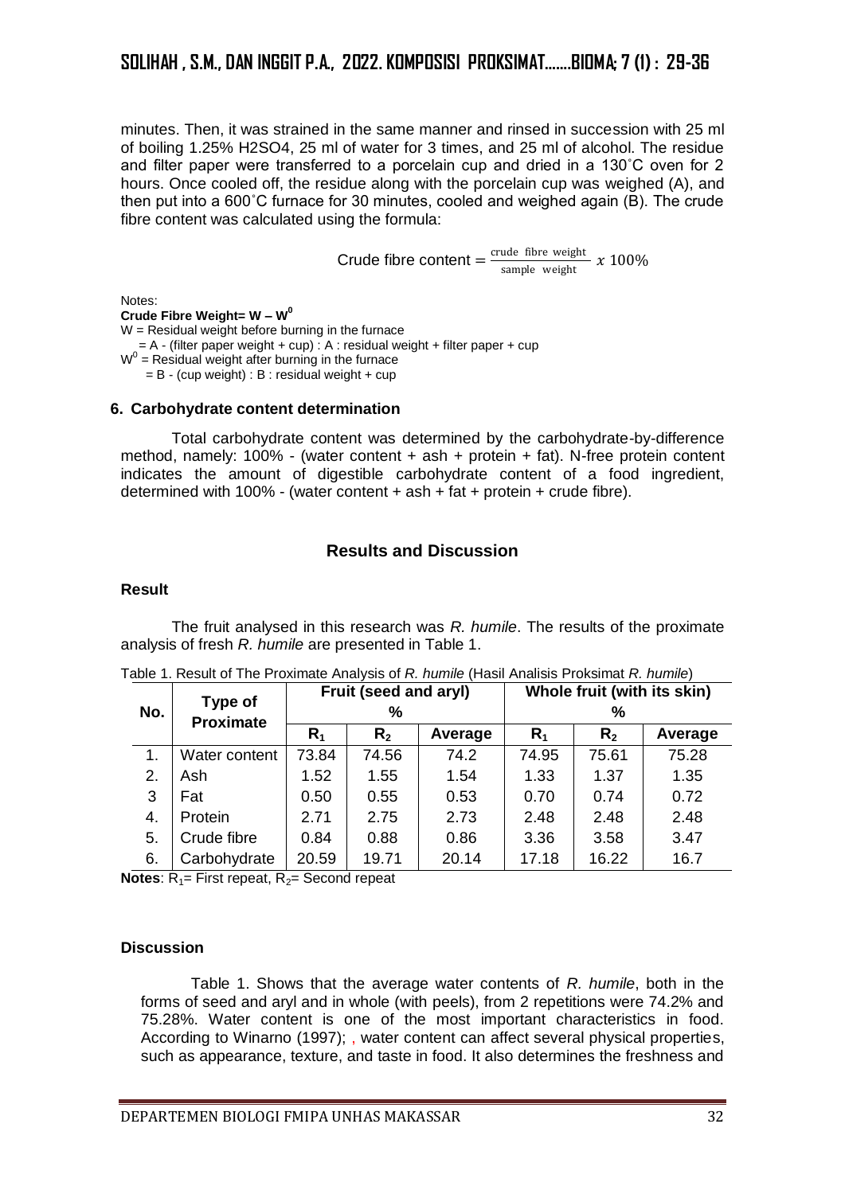minutes. Then, it was strained in the same manner and rinsed in succession with 25 ml of boiling 1.25% H2SO4, 25 ml of water for 3 times, and 25 ml of alcohol. The residue and filter paper were transferred to a porcelain cup and dried in a 130˚C oven for 2 hours. Once cooled off, the residue along with the porcelain cup was weighed (A), and then put into a 600˚C furnace for 30 minutes, cooled and weighed again (B). The crude fibre content was calculated using the formula:

Crude fibre content  $=$   $\frac{crude$  fibre weight  $\frac{\text{true}}{\text{sample weight}}$  x 100%

Notes: **Crude Fibre Weight= W – W 0**  $W =$ Residual weight before burning in the furnace  $= A - (filter paper weight + cup)$ : A : residual weight + filter paper + cup  $W<sup>0</sup>$  = Residual weight after burning in the furnace  $= B - (cup weight) : B : residual weight + cup$ 

#### **6. Carbohydrate content determination**

Total carbohydrate content was determined by the carbohydrate-by-difference method, namely:  $100\%$  - (water content + ash + protein + fat). N-free protein content indicates the amount of digestible carbohydrate content of a food ingredient, determined with 100% - (water content  $+$  ash  $+$  fat  $+$  protein  $+$  crude fibre).

# **Results and Discussion**

# **Result**

The fruit analysed in this research was *R. humile*. The results of the proximate analysis of fresh *R. humile* are presented in Table 1.

| No. | Type of<br><b>Proximate</b> | Fruit (seed and aryl) |         |         | Whole fruit (with its skin) |         |         |
|-----|-----------------------------|-----------------------|---------|---------|-----------------------------|---------|---------|
|     |                             | %                     |         |         | %                           |         |         |
|     |                             | $R_1$                 | $R_{2}$ | Average | R <sub>1</sub>              | $R_{2}$ | Average |
| 1.  | Water content               | 73.84                 | 74.56   | 74.2    | 74.95                       | 75.61   | 75.28   |
| 2.  | Ash                         | 1.52                  | 1.55    | 1.54    | 1.33                        | 1.37    | 1.35    |
| 3   | Fat                         | 0.50                  | 0.55    | 0.53    | 0.70                        | 0.74    | 0.72    |
| 4.  | Protein                     | 2.71                  | 2.75    | 2.73    | 2.48                        | 2.48    | 2.48    |
| 5.  | Crude fibre                 | 0.84                  | 0.88    | 0.86    | 3.36                        | 3.58    | 3.47    |
| 6.  | Carbohydrate                | 20.59                 | 19.71   | 20.14   | 17.18                       | 16.22   | 16.7    |

| Table 1. Result of The Proximate Analysis of R. humile (Hasil Analisis Proksimat <i>R. humile</i> ) |  |
|-----------------------------------------------------------------------------------------------------|--|
|-----------------------------------------------------------------------------------------------------|--|

**Notes:**  $R_1$ = First repeat,  $R_2$ = Second repeat

# **Discussion**

Table 1. Shows that the average water contents of *R. humile*, both in the forms of seed and aryl and in whole (with peels), from 2 repetitions were 74.2% and 75.28%. Water content is one of the most important characteristics in food. According to Winarno (1997); , water content can affect several physical properties, such as appearance, texture, and taste in food. It also determines the freshness and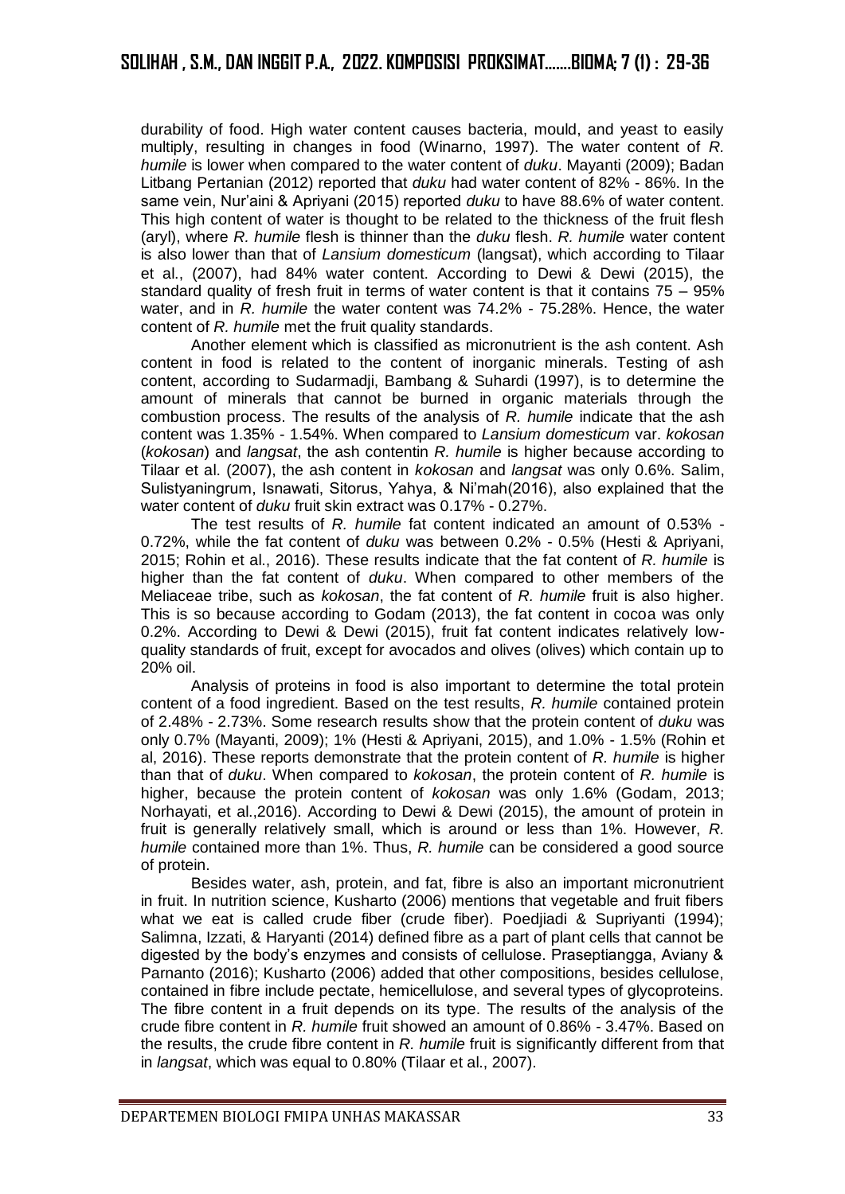durability of food. High water content causes bacteria, mould, and yeast to easily multiply, resulting in changes in food (Winarno, 1997). The water content of *R. humile* is lower when compared to the water content of *duku*. Mayanti (2009); Badan Litbang Pertanian (2012) reported that *duku* had water content of 82% - 86%. In the same vein, Nur'aini & Apriyani (2015) reported *duku* to have 88.6% of water content. This high content of water is thought to be related to the thickness of the fruit flesh (aryl), where *R. humile* flesh is thinner than the *duku* flesh. *R. humile* water content is also lower than that of *Lansium domesticum* (langsat), which according to Tilaar et al., (2007), had 84% water content. According to Dewi & Dewi (2015), the standard quality of fresh fruit in terms of water content is that it contains  $75 - 95\%$ water, and in *R. humile* the water content was 74.2% - 75.28%. Hence, the water content of *R. humile* met the fruit quality standards.

Another element which is classified as micronutrient is the ash content. Ash content in food is related to the content of inorganic minerals. Testing of ash content, according to Sudarmadji, Bambang & Suhardi (1997), is to determine the amount of minerals that cannot be burned in organic materials through the combustion process. The results of the analysis of *R. humile* indicate that the ash content was 1.35% - 1.54%. When compared to *Lansium domesticum* var. *kokosan* (*kokosan*) and *langsat*, the ash contentin *R. humile* is higher because according to Tilaar et al. (2007), the ash content in *kokosan* and *langsat* was only 0.6%. Salim, Sulistyaningrum, Isnawati, Sitorus, Yahya, & Ni'mah(2016), also explained that the water content of *duku* fruit skin extract was 0.17% - 0.27%.

The test results of *R. humile* fat content indicated an amount of 0.53% - 0.72%, while the fat content of *duku* was between 0.2% - 0.5% (Hesti & Apriyani, 2015; Rohin et al., 2016). These results indicate that the fat content of *R. humile* is higher than the fat content of *duku*. When compared to other members of the Meliaceae tribe, such as *kokosan*, the fat content of *R. humile* fruit is also higher. This is so because according to Godam (2013), the fat content in cocoa was only 0.2%. According to Dewi & Dewi (2015), fruit fat content indicates relatively lowquality standards of fruit, except for avocados and olives (olives) which contain up to 20% oil.

Analysis of proteins in food is also important to determine the total protein content of a food ingredient. Based on the test results, *R. humile* contained protein of 2.48% - 2.73%. Some research results show that the protein content of *duku* was only 0.7% (Mayanti, 2009); 1% (Hesti & Apriyani, 2015), and 1.0% - 1.5% (Rohin et al, 2016). These reports demonstrate that the protein content of *R. humile* is higher than that of *duku*. When compared to *kokosan*, the protein content of *R. humile* is higher, because the protein content of *kokosan* was only 1.6% (Godam, 2013; Norhayati, et al.,2016). According to Dewi & Dewi (2015), the amount of protein in fruit is generally relatively small, which is around or less than 1%. However, *R. humile* contained more than 1%. Thus, *R. humile* can be considered a good source of protein.

Besides water, ash, protein, and fat, fibre is also an important micronutrient in fruit. In nutrition science, Kusharto (2006) mentions that vegetable and fruit fibers what we eat is called crude fiber (crude fiber). Poedjiadi & Supriyanti (1994); Salimna, Izzati, & Haryanti (2014) defined fibre as a part of plant cells that cannot be digested by the body's enzymes and consists of cellulose. Praseptiangga, Aviany & Parnanto (2016); Kusharto (2006) added that other compositions, besides cellulose, contained in fibre include pectate, hemicellulose, and several types of glycoproteins. The fibre content in a fruit depends on its type. The results of the analysis of the crude fibre content in *R. humile* fruit showed an amount of 0.86% - 3.47%. Based on the results, the crude fibre content in *R. humile* fruit is significantly different from that in *langsat*, which was equal to 0.80% (Tilaar et al., 2007).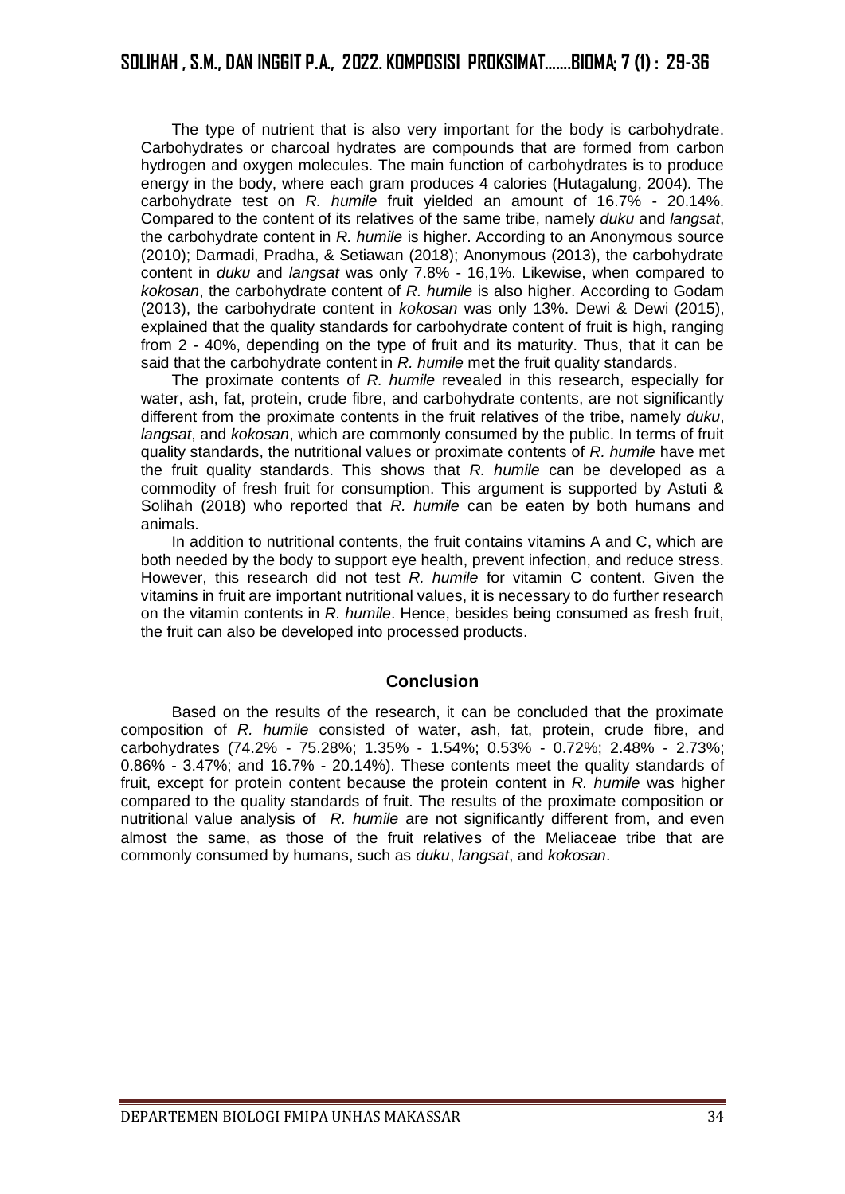The type of nutrient that is also very important for the body is carbohydrate. Carbohydrates or charcoal hydrates are compounds that are formed from carbon hydrogen and oxygen molecules. The main function of carbohydrates is to produce energy in the body, where each gram produces 4 calories (Hutagalung, 2004). The carbohydrate test on *R. humile* fruit yielded an amount of 16.7% - 20.14%. Compared to the content of its relatives of the same tribe, namely *duku* and *langsat*, the carbohydrate content in *R. humile* is higher. According to an Anonymous source (2010); Darmadi, Pradha, & Setiawan (2018); Anonymous (2013), the carbohydrate content in *duku* and *langsat* was only 7.8% - 16,1%. Likewise, when compared to *kokosan*, the carbohydrate content of *R. humile* is also higher. According to Godam (2013), the carbohydrate content in *kokosan* was only 13%. Dewi & Dewi (2015), explained that the quality standards for carbohydrate content of fruit is high, ranging from 2 - 40%, depending on the type of fruit and its maturity. Thus, that it can be said that the carbohydrate content in *R. humile* met the fruit quality standards.

The proximate contents of *R. humile* revealed in this research, especially for water, ash, fat, protein, crude fibre, and carbohydrate contents, are not significantly different from the proximate contents in the fruit relatives of the tribe, namely *duku*, *langsat*, and *kokosan*, which are commonly consumed by the public. In terms of fruit quality standards, the nutritional values or proximate contents of *R. humile* have met the fruit quality standards. This shows that *R. humile* can be developed as a commodity of fresh fruit for consumption. This argument is supported by Astuti & Solihah (2018) who reported that *R. humile* can be eaten by both humans and animals.

In addition to nutritional contents, the fruit contains vitamins A and C, which are both needed by the body to support eye health, prevent infection, and reduce stress. However, this research did not test *R. humile* for vitamin C content. Given the vitamins in fruit are important nutritional values, it is necessary to do further research on the vitamin contents in *R. humile*. Hence, besides being consumed as fresh fruit, the fruit can also be developed into processed products.

# **Conclusion**

Based on the results of the research, it can be concluded that the proximate composition of *R. humile* consisted of water, ash, fat, protein, crude fibre, and carbohydrates (74.2% - 75.28%; 1.35% - 1.54%; 0.53% - 0.72%; 2.48% - 2.73%; 0.86% - 3.47%; and 16.7% - 20.14%). These contents meet the quality standards of fruit, except for protein content because the protein content in *R. humile* was higher compared to the quality standards of fruit. The results of the proximate composition or nutritional value analysis of *R. humile* are not significantly different from, and even almost the same, as those of the fruit relatives of the Meliaceae tribe that are commonly consumed by humans, such as *duku*, *langsat*, and *kokosan*.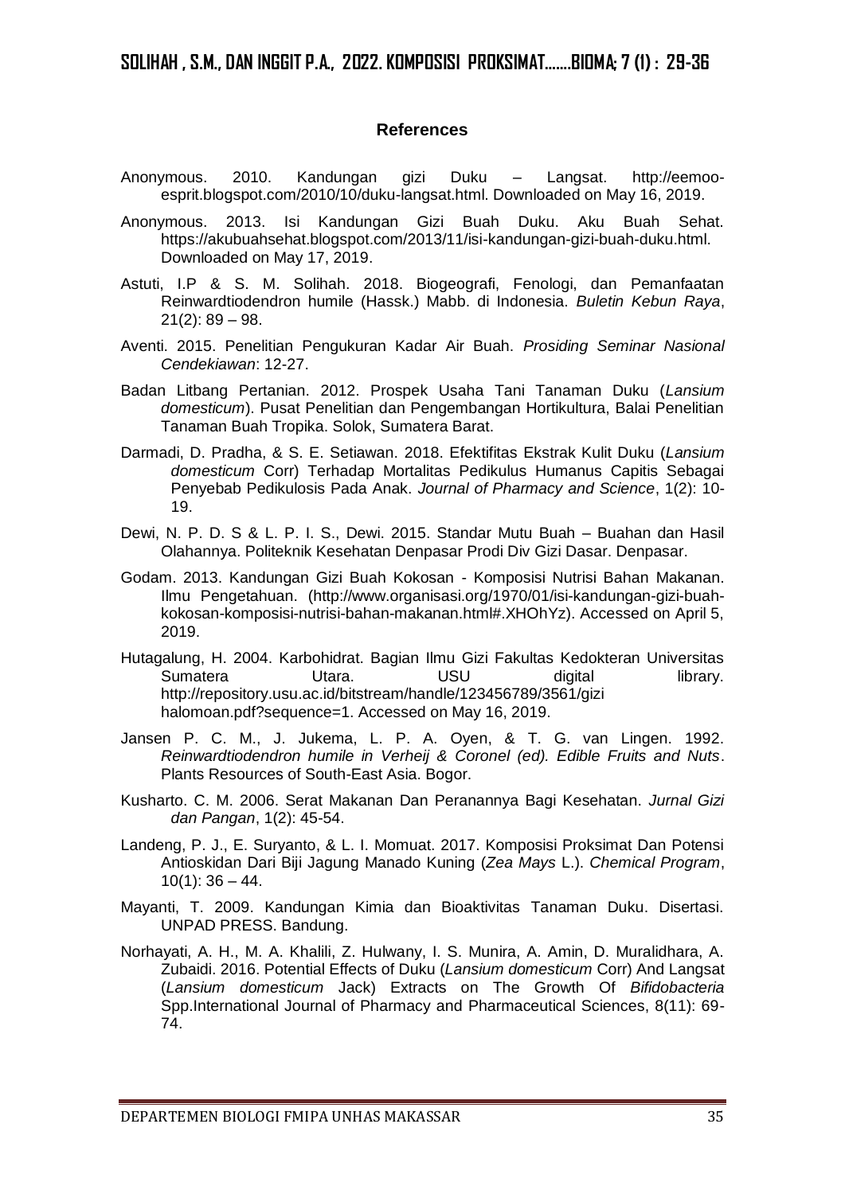# **References**

- Anonymous. 2010. Kandungan gizi Duku Langsat. http://eemooesprit.blogspot.com/2010/10/duku-langsat.html. Downloaded on May 16, 2019.
- Anonymous. 2013. Isi Kandungan Gizi Buah Duku. Aku Buah Sehat. [https://akubuahsehat.blogspot.com/2013/11/isi-kandungan-gizi-buah-duku.html.](https://akubuahsehat.blogspot.com/2013/11/isi-kandungan-gizi-buah-duku.html) Downloaded on May 17, 2019.
- Astuti, I.P & S. M. Solihah. 2018. Biogeografi, Fenologi, dan Pemanfaatan Reinwardtiodendron humile (Hassk.) Mabb. di Indonesia. *Buletin Kebun Raya*,  $21(2): 89 - 98.$
- Aventi. 2015. Penelitian Pengukuran Kadar Air Buah. *Prosiding Seminar Nasional Cendekiawan*: 12-27.
- Badan Litbang Pertanian. 2012. Prospek Usaha Tani Tanaman Duku (*Lansium domesticum*). Pusat Penelitian dan Pengembangan Hortikultura, Balai Penelitian Tanaman Buah Tropika. Solok, Sumatera Barat.
- Darmadi, D. Pradha, & S. E. Setiawan. 2018. Efektifitas Ekstrak Kulit Duku (*Lansium domesticum* Corr) Terhadap Mortalitas Pedikulus Humanus Capitis Sebagai Penyebab Pedikulosis Pada Anak. *Journal of Pharmacy and Science*, 1(2): 10- 19.
- Dewi, N. P. D. S & L. P. I. S., Dewi. 2015. Standar Mutu Buah Buahan dan Hasil Olahannya. Politeknik Kesehatan Denpasar Prodi Div Gizi Dasar. Denpasar.
- Godam. 2013. Kandungan Gizi Buah Kokosan Komposisi Nutrisi Bahan Makanan. Ilmu Pengetahuan. (http://www.organisasi.org/1970/01/isi-kandungan-gizi-buahkokosan-komposisi-nutrisi-bahan-makanan.html#.XHOhYz). Accessed on April 5, 2019.
- Hutagalung, H. 2004. Karbohidrat. Bagian Ilmu Gizi Fakultas Kedokteran Universitas Sumatera Utara. USU digital library. http://repository.usu.ac.id/bitstream/handle/123456789/3561/gizi halomoan.pdf?sequence=1. Accessed on May 16, 2019.
- Jansen P. C. M., J. Jukema, L. P. A. Oyen, & T. G. van Lingen. 1992. *Reinwardtiodendron humile in Verheij & Coronel (ed). Edible Fruits and Nuts*. Plants Resources of South-East Asia. Bogor.
- Kusharto. C. M. 2006. Serat Makanan Dan Peranannya Bagi Kesehatan. *Jurnal Gizi dan Pangan*, 1(2): 45-54.
- Landeng, P. J., E. Suryanto, & L. I. Momuat. 2017. Komposisi Proksimat Dan Potensi Antioskidan Dari Biji Jagung Manado Kuning (*Zea Mays* L.). *Chemical Program*,  $10(1)$ : 36 – 44.
- Mayanti, T. 2009. Kandungan Kimia dan Bioaktivitas Tanaman Duku. Disertasi. UNPAD PRESS. Bandung.
- Norhayati, A. H., M. A. Khalili, Z. Hulwany, I. S. Munira, A. Amin, D. Muralidhara, A. Zubaidi. 2016. Potential Effects of Duku (*Lansium domesticum* Corr) And Langsat (*Lansium domesticum* Jack) Extracts on The Growth Of *Bifidobacteria* Spp.International Journal of Pharmacy and Pharmaceutical Sciences, 8(11): 69- 74.